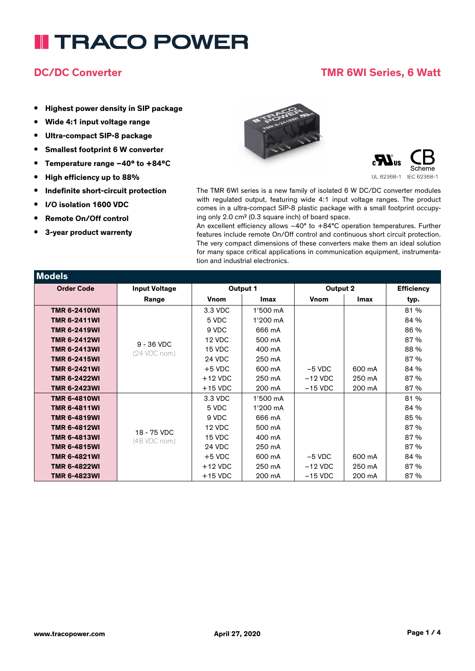### **DC/DC Converter TMR 6WI Series, 6 Watt**

- **• Highest power density in SIP package**
- **• Wide 4:1 input voltage range**
- **• Ultra-compact SIP-8 package**
- **• Smallest footprint 6 W converter**
- **• Temperature range –40° to +84°C**
- **• High efficiency up to 88%**
- **• Indefinite short-circuit protection**
- **• I/O isolation 1600 VDC**
- **• Remote On/Off control**
- **• 3-year product warrenty**





The TMR 6WI series is a new family of isolated 6 W DC/DC converter modules with regulated output, featuring wide 4:1 input voltage ranges. The product comes in a ultra-compact SIP-8 plastic package with a small footprint occupying only 2.0 cm² (0.3 square inch) of board space.

An excellent efficiency allows –40° to +84°C operation temperatures. Further features include remote On/Off control and continuous short circuit protection. The very compact dimensions of these converters make them an ideal solution for many space critical applications in communication equipment, instrumentation and industrial electronics.

| Models              |                      |             |          |             |             |                   |
|---------------------|----------------------|-------------|----------|-------------|-------------|-------------------|
| <b>Order Code</b>   | <b>Input Voltage</b> | Output 1    |          | Output 2    |             | <b>Efficiency</b> |
|                     | Range                | <b>Vnom</b> | Imax     | <b>Vnom</b> | <b>Imax</b> | typ.              |
| <b>TMR 6-2410WI</b> |                      | 3.3 VDC     | 1'500 mA |             |             | 81%               |
| <b>TMR 6-2411WI</b> |                      | 5 VDC       | 1'200 mA |             |             | 84 %              |
| <b>TMR 6-2419WI</b> |                      | 9 VDC       | 666 mA   |             |             | 86 %              |
| <b>TMR 6-2412WI</b> | $9 - 36$ VDC         | 12 VDC      | 500 mA   |             |             | 87%               |
| <b>TMR 6-2413WI</b> | (24 VDC nom.)        | 15 VDC      | 400 mA   |             |             | 88 %              |
| <b>TMR 6-2415WI</b> |                      | 24 VDC      | 250 mA   |             |             | 87 %              |
| <b>TMR 6-2421WI</b> |                      | $+5$ VDC    | 600 mA   | $-5$ VDC    | 600 mA      | 84 %              |
| <b>TMR 6-2422WI</b> |                      | $+12$ VDC   | 250 mA   | $-12$ VDC   | 250 mA      | 87%               |
| <b>TMR 6-2423WI</b> |                      | $+15$ VDC   | 200 mA   | $-15$ VDC   | 200 mA      | 87%               |
| <b>TMR 6-4810WI</b> |                      | 3.3 VDC     | 1'500 mA |             |             | 81%               |
| <b>TMR 6-4811WI</b> |                      | 5 VDC       | 1'200 mA |             |             | 84 %              |
| <b>TMR 6-4819WI</b> |                      | 9 VDC       | 666 mA   |             |             | 85 %              |
| <b>TMR 6-4812WI</b> | 18 - 75 VDC          | 12 VDC      | 500 mA   |             |             | 87%               |
| <b>TMR 6-4813WI</b> | (48 VDC nom.)        | 15 VDC      | 400 mA   |             |             | 87%               |
| <b>TMR 6-4815WI</b> |                      | 24 VDC      | 250 mA   |             |             | 87%               |
| <b>TMR 6-4821WI</b> |                      | $+5$ VDC    | 600 mA   | $-5$ VDC    | 600 mA      | 84 %              |
| <b>TMR 6-4822WI</b> |                      | $+12$ VDC   | 250 mA   | $-12$ VDC   | 250 mA      | 87%               |
| <b>TMR 6-4823WI</b> |                      | $+15$ VDC   | 200 mA   | $-15$ VDC   | 200 mA      | 87%               |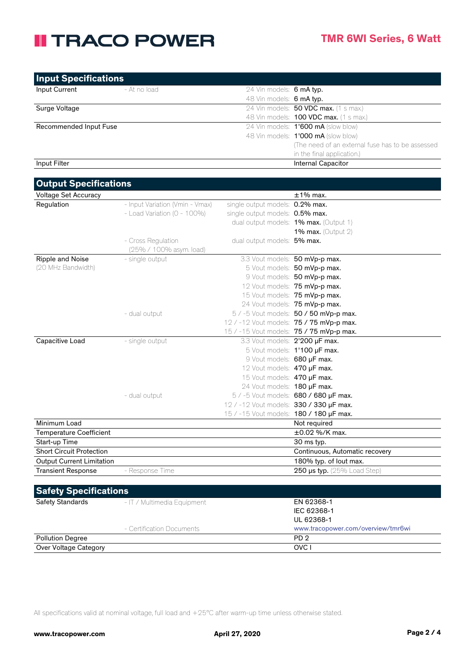| <b>Input Specifications</b> |              |                          |                                                   |
|-----------------------------|--------------|--------------------------|---------------------------------------------------|
| Input Current               | - At no load | 24 Vin models: 6 mA typ. |                                                   |
|                             |              | 48 Vin models: 6 mA typ. |                                                   |
| Surge Voltage               |              |                          | 24 Vin models: <b>50 VDC max.</b> (1 s max.)      |
|                             |              |                          | 48 Vin models: <b>100 VDC max.</b> (1 s max.)     |
| Recommended Input Fuse      |              |                          | 24 Vin models: 1'600 mA (slow blow)               |
|                             |              |                          | 48 Vin models: 1'000 mA (slow blow)               |
|                             |              |                          | (The need of an external fuse has to be assessed) |
|                             |              |                          | in the final application.)                        |
| Input Filter                |              |                          | Internal Capacitor                                |

| <b>Output Specifications</b>     |                                  |                                         |                                          |
|----------------------------------|----------------------------------|-----------------------------------------|------------------------------------------|
| <b>Voltage Set Accuracy</b>      |                                  |                                         | $±1\%$ max.                              |
| Regulation                       | - Input Variation (Vmin - Vmax)  | single output models: 0.2% max.         |                                          |
|                                  | - Load Variation ( $0 - 100\%$ ) | single output models: 0.5% max.         |                                          |
|                                  |                                  |                                         | dual output models: 1% max. (Output 1)   |
|                                  |                                  |                                         | 1% max. (Output $2$ )                    |
|                                  | - Cross Regulation               | dual output models: 5% max.             |                                          |
|                                  | (25% / 100% asym. load)          |                                         |                                          |
| Ripple and Noise                 | - single output                  |                                         | 3.3 Vout models: 50 mVp-p max.           |
| (20 MHz Bandwidth)               |                                  |                                         | 5 Vout models: 50 mVp-p max.             |
|                                  |                                  |                                         | 9 Vout models: 50 mVp-p max.             |
|                                  |                                  |                                         | 12 Vout models: 75 mVp-p max.            |
|                                  |                                  |                                         | 15 Vout models: 75 mVp-p max.            |
|                                  |                                  |                                         | 24 Vout models: 75 mVp-p max.            |
|                                  | - dual output                    |                                         | 5 / -5 Vout models: 50 / 50 mVp-p max.   |
|                                  |                                  |                                         | 12 / -12 Vout models: 75 / 75 mVp-p max. |
|                                  |                                  |                                         | 15 / -15 Vout models: 75 / 75 mVp-p max. |
| Capacitive Load                  | - single output                  | 3.3 Vout models: 2'200 µF max.          |                                          |
|                                  |                                  |                                         | 5 Vout models: 1'100 µF max.             |
|                                  |                                  | 9 Vout models: 680 µF max.              |                                          |
|                                  |                                  | 12 Vout models: 470 uF max.             |                                          |
|                                  |                                  | 15 Vout models: 470 uF max.             |                                          |
|                                  |                                  | 24 Vout models: 180 uF max.             |                                          |
|                                  | - dual output                    |                                         | 5 / -5 Vout models: 680 / 680 µF max.    |
|                                  |                                  | 12 / -12 Vout models: 330 / 330 µF max. |                                          |
|                                  |                                  | 15 / -15 Vout models: 180 / 180 µF max. |                                          |
| Minimum Load                     |                                  |                                         | Not required                             |
| <b>Temperature Coefficient</b>   |                                  |                                         | $\pm 0.02$ %/K max.                      |
| Start-up Time                    |                                  |                                         | 30 ms typ.                               |
| <b>Short Circuit Protection</b>  |                                  |                                         | Continuous, Automatic recovery           |
| <b>Output Current Limitation</b> |                                  |                                         | 180% typ. of lout max.                   |
| <b>Transient Response</b>        | - Response Time                  |                                         | 250 µs typ. (25% Load Step)              |
|                                  |                                  |                                         |                                          |

| <b>Safety Specifications</b> |                             |                                    |  |
|------------------------------|-----------------------------|------------------------------------|--|
| <b>Safety Standards</b>      | - IT / Multimedia Equipment | EN 62368-1                         |  |
|                              |                             | IEC 62368-1                        |  |
|                              |                             | UL 62368-1                         |  |
|                              | - Certification Documents   | www.tracopower.com/overview/tmr6wi |  |
| <b>Pollution Degree</b>      |                             | PD <sub>2</sub>                    |  |
| Over Voltage Category        |                             | OVC I                              |  |

All specifications valid at nominal voltage, full load and +25°C after warm-up time unless otherwise stated.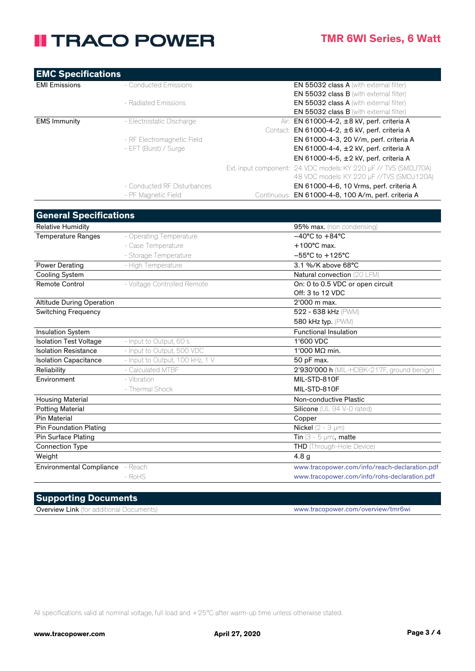| <b>EMC Specifications</b> |                             |                                                                 |
|---------------------------|-----------------------------|-----------------------------------------------------------------|
| <b>EMI Emissions</b>      | - Conducted Emissions       | <b>EN 55032 class A</b> (with external filter)                  |
|                           |                             | <b>EN 55032 class B</b> (with external filter)                  |
|                           | - Radiated Emissions        | <b>EN 55032 class A</b> (with external filter)                  |
|                           |                             | <b>EN 55032 class B</b> (with external filter)                  |
| <b>EMS Immunity</b>       | - Electrostatic Discharge   | EN 61000-4-2, ±8 kV, perf. criteria A<br>Air:                   |
|                           |                             | Contact: EN 61000-4-2, ±6 kV, perf. criteria A                  |
|                           | - RF Electromagnetic Field  | EN 61000-4-3, 20 V/m, perf. criteria A                          |
|                           | - EFT (Burst) / Surge       | EN 61000-4-4, $\pm 2$ kV, perf. criteria A                      |
|                           |                             | EN 61000-4-5, $\pm 2$ kV, perf. criteria A                      |
|                           |                             | Ext. input component: 24 VDC models: KY 220 µF // TVS (SMDJ70A) |
|                           |                             | 48 VDC models: KY 220 µF //TVS (SMDJ120A)                       |
|                           | - Conducted RF Disturbances | EN 61000-4-6, 10 Vrms, perf. criteria A                         |
|                           | - PF Magnetic Field         | EN 61000-4-8, 100 A/m, perf. criteria A<br>Continuous:          |

| <b>General Specifications</b>    |                                 |                                               |
|----------------------------------|---------------------------------|-----------------------------------------------|
| <b>Relative Humidity</b>         |                                 | 95% max. (non condensing)                     |
| <b>Temperature Ranges</b>        | - Operating Temperature         | $-40^{\circ}$ C to $+84^{\circ}$ C            |
|                                  | - Case Temperature              | $+100^{\circ}$ C max.                         |
|                                  | - Storage Temperature           | $-55^{\circ}$ C to $+125^{\circ}$ C           |
| <b>Power Derating</b>            | - High Temperature              | 3.1 %/K above 68°C                            |
| <b>Cooling System</b>            |                                 | Natural convection (20 LFM)                   |
| <b>Remote Control</b>            | - Voltage Controlled Remote     | On: 0 to 0.5 VDC or open circuit              |
|                                  |                                 | Off: 3 to 12 VDC                              |
| <b>Altitude During Operation</b> |                                 | 2'000 m max.                                  |
| <b>Switching Frequency</b>       |                                 | 522 - 638 kHz (PWM)                           |
|                                  |                                 | 580 kHz typ. (PWM)                            |
| <b>Insulation System</b>         |                                 | <b>Functional Insulation</b>                  |
| <b>Isolation Test Voltage</b>    | - Input to Output, 60 s         | 1'600 VDC                                     |
| <b>Isolation Resistance</b>      | - Input to Output, 500 VDC      | 1'000 M $\Omega$ min.                         |
| <b>Isolation Capacitance</b>     | - Input to Output, 100 kHz, 1 V | 50 pF max.                                    |
| Reliability                      | - Calculated MTBF               | 2'930'000 h (MIL-HDBK-217F, ground benign)    |
| Environment                      | - Vibration                     | MIL-STD-810F                                  |
|                                  | - Thermal Shock                 | MIL-STD-810F                                  |
| <b>Housing Material</b>          |                                 | Non-conductive Plastic                        |
| <b>Potting Material</b>          |                                 | Silicone (UL 94 V-0 rated)                    |
| <b>Pin Material</b>              |                                 | Copper                                        |
| <b>Pin Foundation Plating</b>    |                                 | <b>Nickel</b> ( $2 - 3 \mu m$ )               |
| <b>Pin Surface Plating</b>       |                                 | Tin $(3 - 5 \mu m)$ , matte                   |
| <b>Connection Type</b>           |                                 | THD (Through-Hole Device)                     |
| Weight                           |                                 | 4.8 <sub>g</sub>                              |
| Environmental Compliance - Reach |                                 | www.tracopower.com/info/reach-declaration.pdf |
|                                  | $-$ RoHS                        | www.tracopower.com/info/rohs-declaration.pdf  |
|                                  |                                 |                                               |

#### **Supporting Documents**

Overview Link (for additional Documents) www.tracopower.com/overview/tmr6wi

All specifications valid at nominal voltage, full load and +25°C after warm-up time unless otherwise stated.